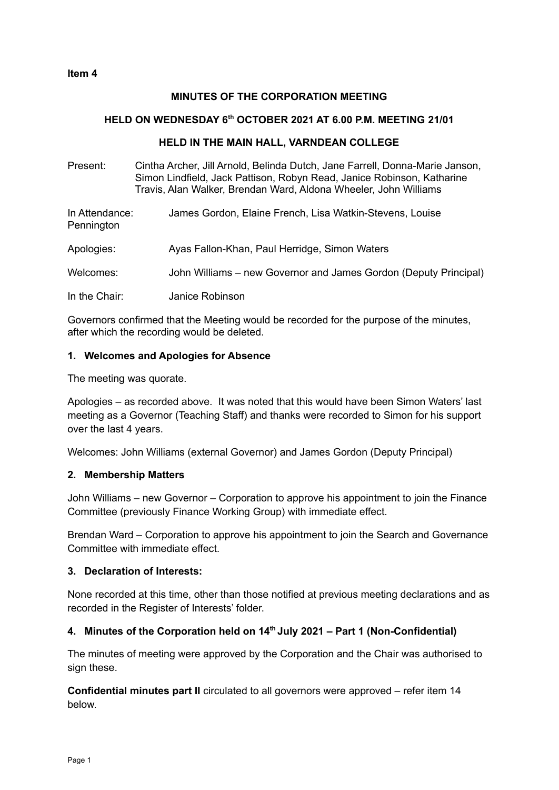#### **MINUTES OF THE CORPORATION MEETING**

#### **HELD ON WEDNESDAY 6 th OCTOBER 2021 AT 6.00 P.M. MEETING 21/01**

#### **HELD IN THE MAIN HALL, VARNDEAN COLLEGE**

Present: Cintha Archer, Jill Arnold, Belinda Dutch, Jane Farrell, Donna-Marie Janson, Simon Lindfield, Jack Pattison, Robyn Read, Janice Robinson, Katharine Travis, Alan Walker, Brendan Ward, Aldona Wheeler, John Williams

| In Attendance: | James Gordon, Elaine French, Lisa Watkin-Stevens, Louise |
|----------------|----------------------------------------------------------|
| Pennington     |                                                          |
|                |                                                          |

Apologies: Ayas Fallon-Khan, Paul Herridge, Simon Waters

Welcomes: John Williams – new Governor and James Gordon (Deputy Principal)

In the Chair: Janice Robinson

Governors confirmed that the Meeting would be recorded for the purpose of the minutes, after which the recording would be deleted.

#### **1. Welcomes and Apologies for Absence**

The meeting was quorate.

Apologies – as recorded above. It was noted that this would have been Simon Waters' last meeting as a Governor (Teaching Staff) and thanks were recorded to Simon for his support over the last 4 years.

Welcomes: John Williams (external Governor) and James Gordon (Deputy Principal)

#### **2. Membership Matters**

John Williams – new Governor – Corporation to approve his appointment to join the Finance Committee (previously Finance Working Group) with immediate effect.

Brendan Ward – Corporation to approve his appointment to join the Search and Governance Committee with immediate effect.

#### **3. Declaration of Interests:**

None recorded at this time, other than those notified at previous meeting declarations and as recorded in the Register of Interests' folder.

#### **4. Minutes of the Corporation held on 14 th July 2021 – Part 1 (Non-Confidential)**

The minutes of meeting were approved by the Corporation and the Chair was authorised to sign these.

**Confidential minutes part II** circulated to all governors were approved – refer item 14 below.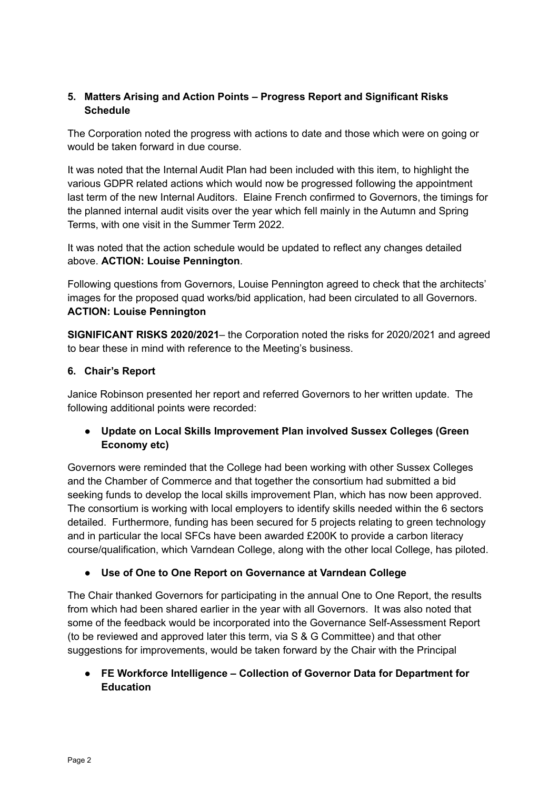# **5. Matters Arising and Action Points – Progress Report and Significant Risks Schedule**

The Corporation noted the progress with actions to date and those which were on going or would be taken forward in due course.

It was noted that the Internal Audit Plan had been included with this item, to highlight the various GDPR related actions which would now be progressed following the appointment last term of the new Internal Auditors. Elaine French confirmed to Governors, the timings for the planned internal audit visits over the year which fell mainly in the Autumn and Spring Terms, with one visit in the Summer Term 2022.

It was noted that the action schedule would be updated to reflect any changes detailed above. **ACTION: Louise Pennington**.

Following questions from Governors, Louise Pennington agreed to check that the architects' images for the proposed quad works/bid application, had been circulated to all Governors. **ACTION: Louise Pennington**

**SIGNIFICANT RISKS 2020/2021**– the Corporation noted the risks for 2020/2021 and agreed to bear these in mind with reference to the Meeting's business.

# **6. Chair's Report**

Janice Robinson presented her report and referred Governors to her written update. The following additional points were recorded:

# **● Update on Local Skills Improvement Plan involved Sussex Colleges (Green Economy etc)**

Governors were reminded that the College had been working with other Sussex Colleges and the Chamber of Commerce and that together the consortium had submitted a bid seeking funds to develop the local skills improvement Plan, which has now been approved. The consortium is working with local employers to identify skills needed within the 6 sectors detailed. Furthermore, funding has been secured for 5 projects relating to green technology and in particular the local SFCs have been awarded £200K to provide a carbon literacy course/qualification, which Varndean College, along with the other local College, has piloted.

● **Use of One to One Report on Governance at Varndean College**

The Chair thanked Governors for participating in the annual One to One Report, the results from which had been shared earlier in the year with all Governors. It was also noted that some of the feedback would be incorporated into the Governance Self-Assessment Report (to be reviewed and approved later this term, via S & G Committee) and that other suggestions for improvements, would be taken forward by the Chair with the Principal

# **● FE Workforce Intelligence – Collection of Governor Data for Department for Education**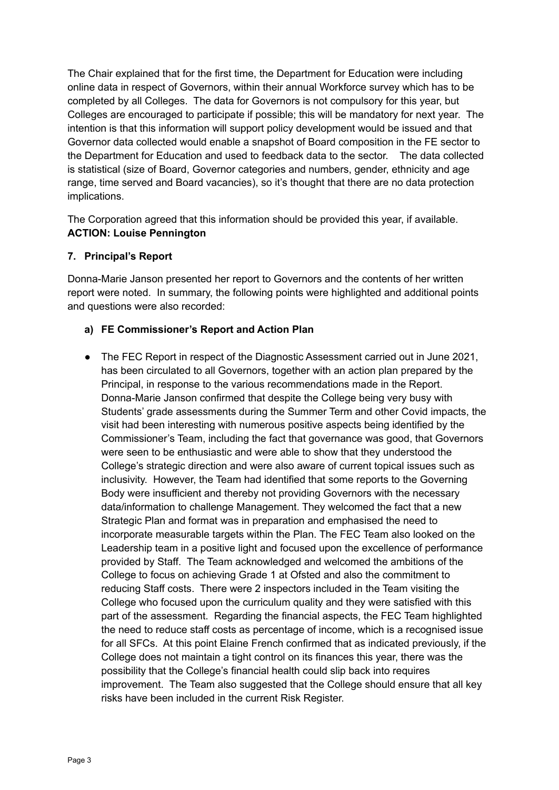The Chair explained that for the first time, the Department for Education were including online data in respect of Governors, within their annual Workforce survey which has to be completed by all Colleges. The data for Governors is not compulsory for this year, but Colleges are encouraged to participate if possible; this will be mandatory for next year. The intention is that this information will support policy development would be issued and that Governor data collected would enable a snapshot of Board composition in the FE sector to the Department for Education and used to feedback data to the sector. The data collected is statistical (size of Board, Governor categories and numbers, gender, ethnicity and age range, time served and Board vacancies), so it's thought that there are no data protection implications.

The Corporation agreed that this information should be provided this year, if available. **ACTION: Louise Pennington**

### **7. Principal's Report**

Donna-Marie Janson presented her report to Governors and the contents of her written report were noted. In summary, the following points were highlighted and additional points and questions were also recorded:

### **a) FE Commissioner's Report and Action Plan**

● The FEC Report in respect of the Diagnostic Assessment carried out in June 2021, has been circulated to all Governors, together with an action plan prepared by the Principal, in response to the various recommendations made in the Report. Donna-Marie Janson confirmed that despite the College being very busy with Students' grade assessments during the Summer Term and other Covid impacts, the visit had been interesting with numerous positive aspects being identified by the Commissioner's Team, including the fact that governance was good, that Governors were seen to be enthusiastic and were able to show that they understood the College's strategic direction and were also aware of current topical issues such as inclusivity. However, the Team had identified that some reports to the Governing Body were insufficient and thereby not providing Governors with the necessary data/information to challenge Management. They welcomed the fact that a new Strategic Plan and format was in preparation and emphasised the need to incorporate measurable targets within the Plan. The FEC Team also looked on the Leadership team in a positive light and focused upon the excellence of performance provided by Staff. The Team acknowledged and welcomed the ambitions of the College to focus on achieving Grade 1 at Ofsted and also the commitment to reducing Staff costs. There were 2 inspectors included in the Team visiting the College who focused upon the curriculum quality and they were satisfied with this part of the assessment. Regarding the financial aspects, the FEC Team highlighted the need to reduce staff costs as percentage of income, which is a recognised issue for all SFCs. At this point Elaine French confirmed that as indicated previously, if the College does not maintain a tight control on its finances this year, there was the possibility that the College's financial health could slip back into requires improvement. The Team also suggested that the College should ensure that all key risks have been included in the current Risk Register.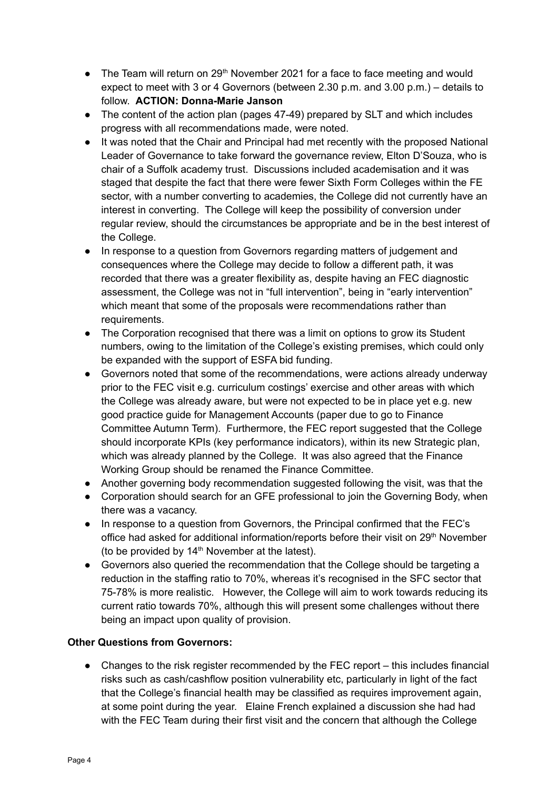- $\bullet$  The Team will return on 29<sup>th</sup> November 2021 for a face to face meeting and would expect to meet with 3 or 4 Governors (between 2.30 p.m. and 3.00 p.m.) – details to follow. **ACTION: Donna-Marie Janson**
- **●** The content of the action plan (pages 47-49) prepared by SLT and which includes progress with all recommendations made, were noted.
- **●** It was noted that the Chair and Principal had met recently with the proposed National Leader of Governance to take forward the governance review, Elton D'Souza, who is chair of a Suffolk academy trust. Discussions included academisation and it was staged that despite the fact that there were fewer Sixth Form Colleges within the FE sector, with a number converting to academies, the College did not currently have an interest in converting. The College will keep the possibility of conversion under regular review, should the circumstances be appropriate and be in the best interest of the College.
- In response to a question from Governors regarding matters of judgement and consequences where the College may decide to follow a different path, it was recorded that there was a greater flexibility as, despite having an FEC diagnostic assessment, the College was not in "full intervention", being in "early intervention" which meant that some of the proposals were recommendations rather than requirements.
- **●** The Corporation recognised that there was a limit on options to grow its Student numbers, owing to the limitation of the College's existing premises, which could only be expanded with the support of ESFA bid funding.
- **●** Governors noted that some of the recommendations, were actions already underway prior to the FEC visit e.g. curriculum costings' exercise and other areas with which the College was already aware, but were not expected to be in place yet e.g. new good practice guide for Management Accounts (paper due to go to Finance Committee Autumn Term). Furthermore, the FEC report suggested that the College should incorporate KPIs (key performance indicators), within its new Strategic plan, which was already planned by the College. It was also agreed that the Finance Working Group should be renamed the Finance Committee.
- **●** Another governing body recommendation suggested following the visit, was that the
- **●** Corporation should search for an GFE professional to join the Governing Body, when there was a vacancy.
- **●** In response to a question from Governors, the Principal confirmed that the FEC's office had asked for additional information/reports before their visit on 29<sup>th</sup> November (to be provided by  $14<sup>th</sup>$  November at the latest).
- **●** Governors also queried the recommendation that the College should be targeting a reduction in the staffing ratio to 70%, whereas it's recognised in the SFC sector that 75-78% is more realistic. However, the College will aim to work towards reducing its current ratio towards 70%, although this will present some challenges without there being an impact upon quality of provision.

# **Other Questions from Governors:**

**●** Changes to the risk register recommended by the FEC report – this includes financial risks such as cash/cashflow position vulnerability etc, particularly in light of the fact that the College's financial health may be classified as requires improvement again, at some point during the year. Elaine French explained a discussion she had had with the FEC Team during their first visit and the concern that although the College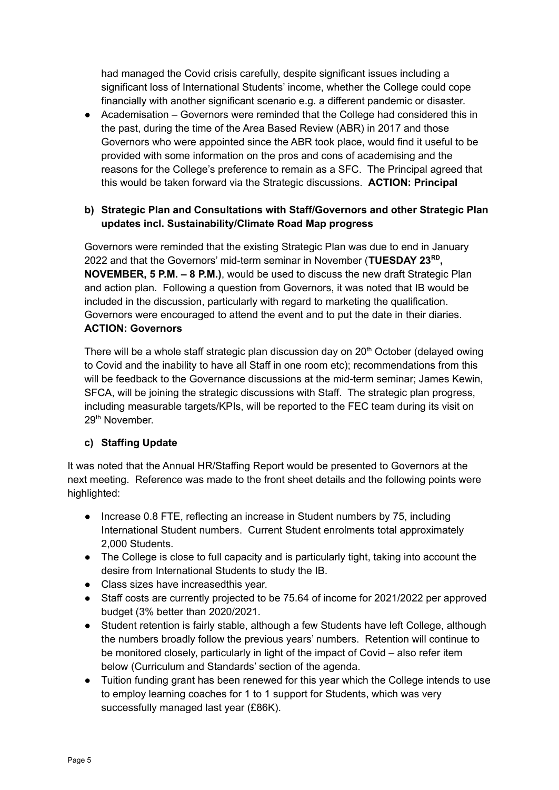had managed the Covid crisis carefully, despite significant issues including a significant loss of International Students' income, whether the College could cope financially with another significant scenario e.g. a different pandemic or disaster.

● Academisation – Governors were reminded that the College had considered this in the past, during the time of the Area Based Review (ABR) in 2017 and those Governors who were appointed since the ABR took place, would find it useful to be provided with some information on the pros and cons of academising and the reasons for the College's preference to remain as a SFC. The Principal agreed that this would be taken forward via the Strategic discussions. **ACTION: Principal**

# **b) Strategic Plan and Consultations with Staff/Governors and other Strategic Plan updates incl. Sustainability/Climate Road Map progress**

Governors were reminded that the existing Strategic Plan was due to end in January 2022 and that the Governors' mid-term seminar in November (**TUESDAY 23 RD , NOVEMBER, 5 P.M. – 8 P.M.)**, would be used to discuss the new draft Strategic Plan and action plan. Following a question from Governors, it was noted that IB would be included in the discussion, particularly with regard to marketing the qualification. Governors were encouraged to attend the event and to put the date in their diaries. **ACTION: Governors**

There will be a whole staff strategic plan discussion day on 20<sup>th</sup> October (delayed owing to Covid and the inability to have all Staff in one room etc); recommendations from this will be feedback to the Governance discussions at the mid-term seminar; James Kewin, SFCA, will be joining the strategic discussions with Staff. The strategic plan progress, including measurable targets/KPIs, will be reported to the FEC team during its visit on 29<sup>th</sup> November.

# **c) Staffing Update**

It was noted that the Annual HR/Staffing Report would be presented to Governors at the next meeting. Reference was made to the front sheet details and the following points were highlighted:

- Increase 0.8 FTE, reflecting an increase in Student numbers by 75, including International Student numbers. Current Student enrolments total approximately 2,000 Students.
- The College is close to full capacity and is particularly tight, taking into account the desire from International Students to study the IB.
- Class sizes have increasedthis year.
- Staff costs are currently projected to be 75.64 of income for 2021/2022 per approved budget (3% better than 2020/2021.
- Student retention is fairly stable, although a few Students have left College, although the numbers broadly follow the previous years' numbers. Retention will continue to be monitored closely, particularly in light of the impact of Covid – also refer item below (Curriculum and Standards' section of the agenda.
- Tuition funding grant has been renewed for this year which the College intends to use to employ learning coaches for 1 to 1 support for Students, which was very successfully managed last year (£86K).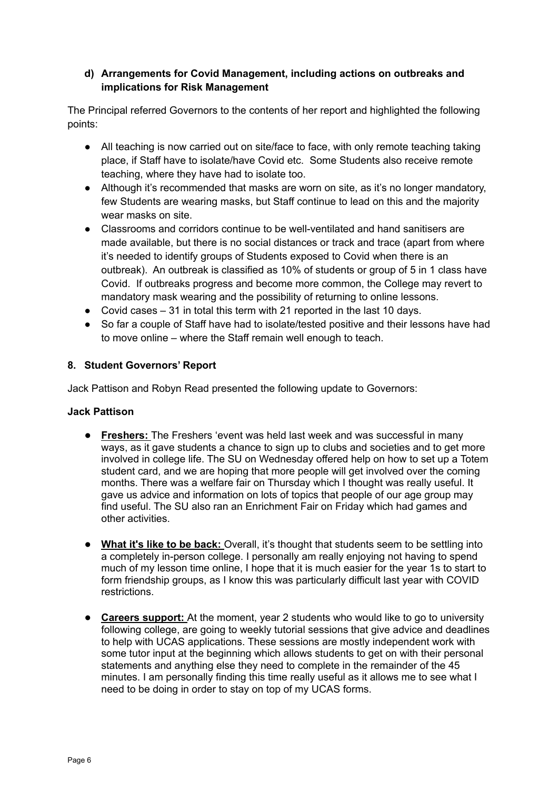### **d) Arrangements for Covid Management, including actions on outbreaks and implications for Risk Management**

The Principal referred Governors to the contents of her report and highlighted the following points:

- All teaching is now carried out on site/face to face, with only remote teaching taking place, if Staff have to isolate/have Covid etc. Some Students also receive remote teaching, where they have had to isolate too.
- Although it's recommended that masks are worn on site, as it's no longer mandatory, few Students are wearing masks, but Staff continue to lead on this and the majority wear masks on site.
- Classrooms and corridors continue to be well-ventilated and hand sanitisers are made available, but there is no social distances or track and trace (apart from where it's needed to identify groups of Students exposed to Covid when there is an outbreak). An outbreak is classified as 10% of students or group of 5 in 1 class have Covid. If outbreaks progress and become more common, the College may revert to mandatory mask wearing and the possibility of returning to online lessons.
- Covid cases 31 in total this term with 21 reported in the last 10 days.
- So far a couple of Staff have had to isolate/tested positive and their lessons have had to move online – where the Staff remain well enough to teach.

# **8. Student Governors' Report**

Jack Pattison and Robyn Read presented the following update to Governors:

# **Jack Pattison**

- **Freshers:** The Freshers 'event was held last week and was successful in many ways, as it gave students a chance to sign up to clubs and societies and to get more involved in college life. The SU on Wednesday offered help on how to set up a Totem student card, and we are hoping that more people will get involved over the coming months. There was a welfare fair on Thursday which I thought was really useful. It gave us advice and information on lots of topics that people of our age group may find useful. The SU also ran an Enrichment Fair on Friday which had games and other activities.
- **What it's like to be back:** Overall, it's thought that students seem to be settling into a completely in-person college. I personally am really enjoying not having to spend much of my lesson time online, I hope that it is much easier for the year 1s to start to form friendship groups, as I know this was particularly difficult last year with COVID restrictions.
- **Careers support:** At the moment, year 2 students who would like to go to university following college, are going to weekly tutorial sessions that give advice and deadlines to help with UCAS applications. These sessions are mostly independent work with some tutor input at the beginning which allows students to get on with their personal statements and anything else they need to complete in the remainder of the 45 minutes. I am personally finding this time really useful as it allows me to see what I need to be doing in order to stay on top of my UCAS forms.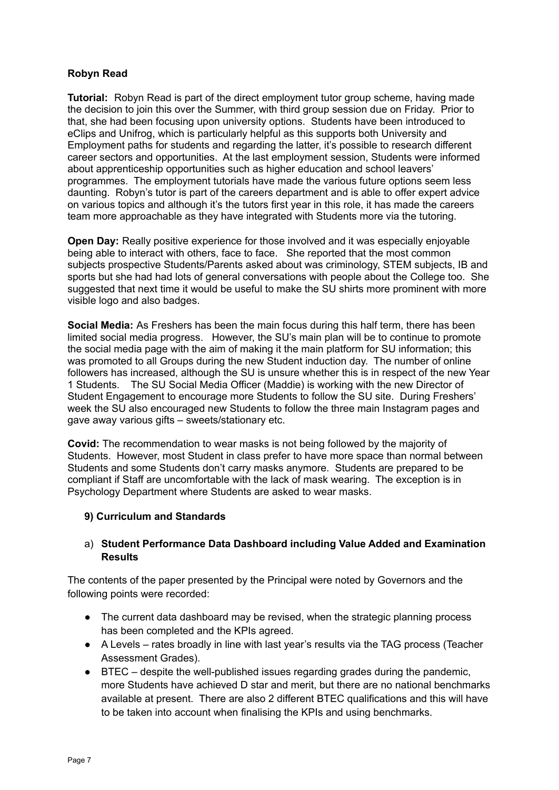### **Robyn Read**

**Tutorial:** Robyn Read is part of the direct employment tutor group scheme, having made the decision to join this over the Summer, with third group session due on Friday. Prior to that, she had been focusing upon university options. Students have been introduced to eClips and Unifrog, which is particularly helpful as this supports both University and Employment paths for students and regarding the latter, it's possible to research different career sectors and opportunities. At the last employment session, Students were informed about apprenticeship opportunities such as higher education and school leavers' programmes. The employment tutorials have made the various future options seem less daunting. Robyn's tutor is part of the careers department and is able to offer expert advice on various topics and although it's the tutors first year in this role, it has made the careers team more approachable as they have integrated with Students more via the tutoring.

**Open Day:** Really positive experience for those involved and it was especially enjoyable being able to interact with others, face to face. She reported that the most common subjects prospective Students/Parents asked about was criminology, STEM subjects, IB and sports but she had had lots of general conversations with people about the College too. She suggested that next time it would be useful to make the SU shirts more prominent with more visible logo and also badges.

**Social Media:** As Freshers has been the main focus during this half term, there has been limited social media progress. However, the SU's main plan will be to continue to promote the social media page with the aim of making it the main platform for SU information; this was promoted to all Groups during the new Student induction day. The number of online followers has increased, although the SU is unsure whether this is in respect of the new Year 1 Students. The SU Social Media Officer (Maddie) is working with the new Director of Student Engagement to encourage more Students to follow the SU site. During Freshers' week the SU also encouraged new Students to follow the three main Instagram pages and gave away various gifts – sweets/stationary etc.

**Covid:** The recommendation to wear masks is not being followed by the majority of Students. However, most Student in class prefer to have more space than normal between Students and some Students don't carry masks anymore. Students are prepared to be compliant if Staff are uncomfortable with the lack of mask wearing. The exception is in Psychology Department where Students are asked to wear masks.

#### **9) Curriculum and Standards**

### a) **Student Performance Data Dashboard including Value Added and Examination Results**

The contents of the paper presented by the Principal were noted by Governors and the following points were recorded:

- The current data dashboard may be revised, when the strategic planning process has been completed and the KPIs agreed.
- A Levels rates broadly in line with last year's results via the TAG process (Teacher Assessment Grades).
- BTEC despite the well-published issues regarding grades during the pandemic, more Students have achieved D star and merit, but there are no national benchmarks available at present. There are also 2 different BTEC qualifications and this will have to be taken into account when finalising the KPIs and using benchmarks.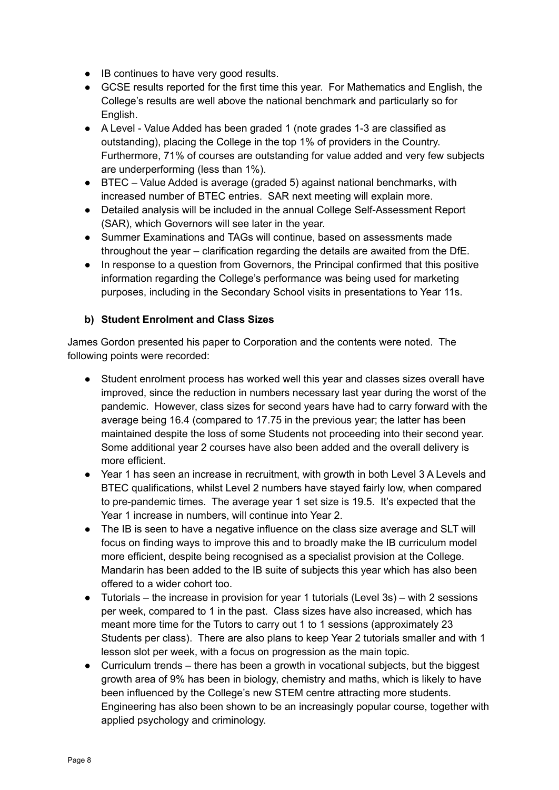- IB continues to have very good results.
- GCSE results reported for the first time this year. For Mathematics and English, the College's results are well above the national benchmark and particularly so for English.
- A Level Value Added has been graded 1 (note grades 1-3 are classified as outstanding), placing the College in the top 1% of providers in the Country. Furthermore, 71% of courses are outstanding for value added and very few subjects are underperforming (less than 1%).
- BTEC Value Added is average (graded 5) against national benchmarks, with increased number of BTEC entries. SAR next meeting will explain more.
- Detailed analysis will be included in the annual College Self-Assessment Report (SAR), which Governors will see later in the year.
- Summer Examinations and TAGs will continue, based on assessments made throughout the year – clarification regarding the details are awaited from the DfE.
- In response to a question from Governors, the Principal confirmed that this positive information regarding the College's performance was being used for marketing purposes, including in the Secondary School visits in presentations to Year 11s.

# **b) Student Enrolment and Class Sizes**

James Gordon presented his paper to Corporation and the contents were noted. The following points were recorded:

- Student enrolment process has worked well this year and classes sizes overall have improved, since the reduction in numbers necessary last year during the worst of the pandemic. However, class sizes for second years have had to carry forward with the average being 16.4 (compared to 17.75 in the previous year; the latter has been maintained despite the loss of some Students not proceeding into their second year. Some additional year 2 courses have also been added and the overall delivery is more efficient.
- Year 1 has seen an increase in recruitment, with growth in both Level 3 A Levels and BTEC qualifications, whilst Level 2 numbers have stayed fairly low, when compared to pre-pandemic times. The average year 1 set size is 19.5. It's expected that the Year 1 increase in numbers, will continue into Year 2.
- The IB is seen to have a negative influence on the class size average and SLT will focus on finding ways to improve this and to broadly make the IB curriculum model more efficient, despite being recognised as a specialist provision at the College. Mandarin has been added to the IB suite of subjects this year which has also been offered to a wider cohort too.
- $\bullet$  Tutorials the increase in provision for year 1 tutorials (Level 3s) with 2 sessions per week, compared to 1 in the past. Class sizes have also increased, which has meant more time for the Tutors to carry out 1 to 1 sessions (approximately 23 Students per class). There are also plans to keep Year 2 tutorials smaller and with 1 lesson slot per week, with a focus on progression as the main topic.
- Curriculum trends there has been a growth in vocational subjects, but the biggest growth area of 9% has been in biology, chemistry and maths, which is likely to have been influenced by the College's new STEM centre attracting more students. Engineering has also been shown to be an increasingly popular course, together with applied psychology and criminology.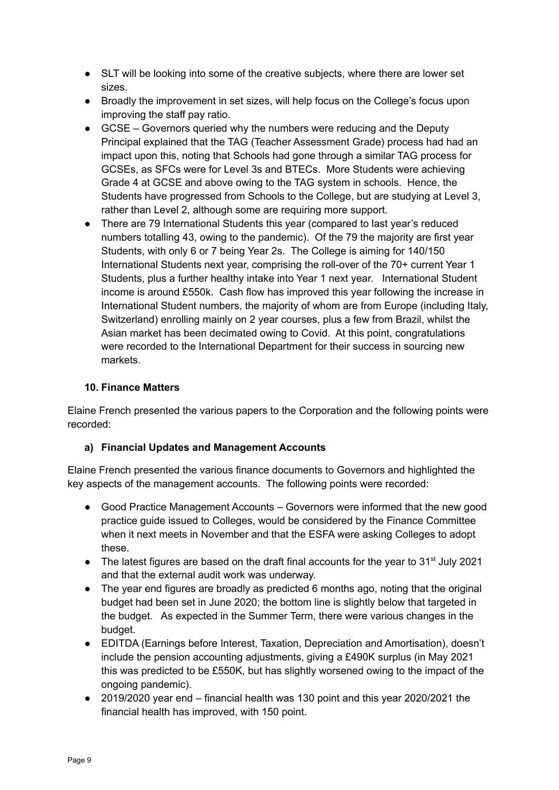- SLT will be looking into some of the creative subjects, where there are lower set sizes.
- Broadly the improvement in set sizes, will help focus on the College's focus upon improving the staff pay ratio.
- GCSE Governors queried why the numbers were reducing and the Deputy Principal explained that the TAG (Teacher Assessment Grade) process had had an impact upon this, noting that Schools had gone through a similar TAG process for GCSEs, as SFCs were for Level 3s and BTECs. More Students were achieving Grade 4 at GCSE and above owing to the TAG system in schools. Hence, the Students have progressed from Schools to the College, but are studying at Level 3, rather than Level 2, although some are requiring more support.
- There are 79 International Students this year (compared to last year's reduced numbers totalling 43, owing to the pandemic). Of the 79 the majority are first year Students, with only 6 or 7 being Year 2s. The College is aiming for 140/150 International Students next year, comprising the roll-over of the 70+ current Year 1 Students, plus a further healthy intake into Year 1 next year. International Student income is around £550k. Cash flow has improved this year following the increase in International Student numbers, the majority of whom are from Europe (including Italy, Switzerland) enrolling mainly on 2 year courses, plus a few from Brazil, whilst the Asian market has been decimated owing to Covid. At this point, congratulations were recorded to the International Department for their success in sourcing new markets.

# **10. Finance Matters**

Elaine French presented the various papers to the Corporation and the following points were recorded:

# **a) Financial Updates and Management Accounts**

Elaine French presented the various finance documents to Governors and highlighted the key aspects of the management accounts. The following points were recorded:

- Good Practice Management Accounts Governors were informed that the new good practice guide issued to Colleges, would be considered by the Finance Committee when it next meets in November and that the ESFA were asking Colleges to adopt these.
- The latest figures are based on the draft final accounts for the year to 31<sup>st</sup> July 2021 and that the external audit work was underway.
- The year end figures are broadly as predicted 6 months ago, noting that the original budget had been set in June 2020; the bottom line is slightly below that targeted in the budget. As expected in the Summer Term, there were various changes in the budget.
- EDITDA (Earnings before Interest, Taxation, Depreciation and Amortisation), doesn't include the pension accounting adjustments, giving a £490K surplus (in May 2021 this was predicted to be £550K, but has slightly worsened owing to the impact of the ongoing pandemic).
- 2019/2020 year end financial health was 130 point and this year 2020/2021 the financial health has improved, with 150 point.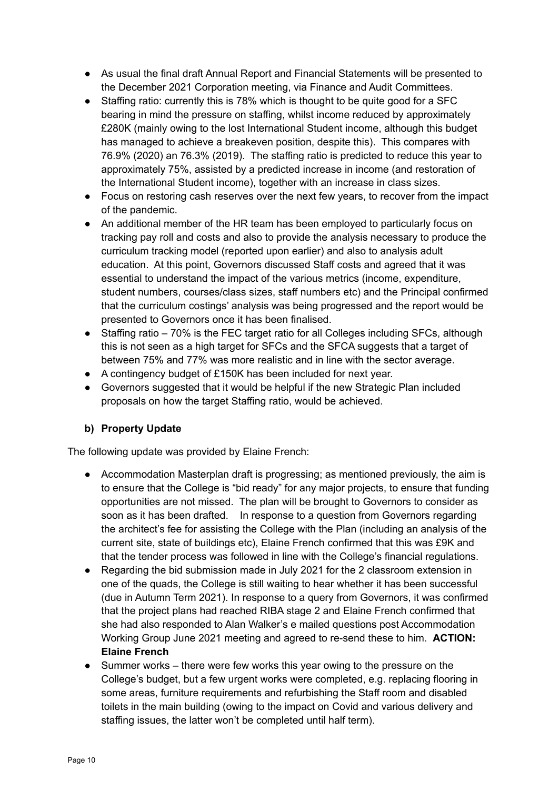- As usual the final draft Annual Report and Financial Statements will be presented to the December 2021 Corporation meeting, via Finance and Audit Committees.
- Staffing ratio: currently this is 78% which is thought to be quite good for a SFC bearing in mind the pressure on staffing, whilst income reduced by approximately £280K (mainly owing to the lost International Student income, although this budget has managed to achieve a breakeven position, despite this). This compares with 76.9% (2020) an 76.3% (2019). The staffing ratio is predicted to reduce this year to approximately 75%, assisted by a predicted increase in income (and restoration of the International Student income), together with an increase in class sizes.
- Focus on restoring cash reserves over the next few years, to recover from the impact of the pandemic.
- An additional member of the HR team has been employed to particularly focus on tracking pay roll and costs and also to provide the analysis necessary to produce the curriculum tracking model (reported upon earlier) and also to analysis adult education. At this point, Governors discussed Staff costs and agreed that it was essential to understand the impact of the various metrics (income, expenditure, student numbers, courses/class sizes, staff numbers etc) and the Principal confirmed that the curriculum costings' analysis was being progressed and the report would be presented to Governors once it has been finalised.
- Staffing ratio 70% is the FEC target ratio for all Colleges including SFCs, although this is not seen as a high target for SFCs and the SFCA suggests that a target of between 75% and 77% was more realistic and in line with the sector average.
- A contingency budget of £150K has been included for next year.
- Governors suggested that it would be helpful if the new Strategic Plan included proposals on how the target Staffing ratio, would be achieved.

# **b) Property Update**

The following update was provided by Elaine French:

- Accommodation Masterplan draft is progressing; as mentioned previously, the aim is to ensure that the College is "bid ready" for any major projects, to ensure that funding opportunities are not missed. The plan will be brought to Governors to consider as soon as it has been drafted. In response to a question from Governors regarding the architect's fee for assisting the College with the Plan (including an analysis of the current site, state of buildings etc), Elaine French confirmed that this was £9K and that the tender process was followed in line with the College's financial regulations.
- Regarding the bid submission made in July 2021 for the 2 classroom extension in one of the quads, the College is still waiting to hear whether it has been successful (due in Autumn Term 2021). In response to a query from Governors, it was confirmed that the project plans had reached RIBA stage 2 and Elaine French confirmed that she had also responded to Alan Walker's e mailed questions post Accommodation Working Group June 2021 meeting and agreed to re-send these to him. **ACTION: Elaine French**
- Summer works there were few works this year owing to the pressure on the College's budget, but a few urgent works were completed, e.g. replacing flooring in some areas, furniture requirements and refurbishing the Staff room and disabled toilets in the main building (owing to the impact on Covid and various delivery and staffing issues, the latter won't be completed until half term).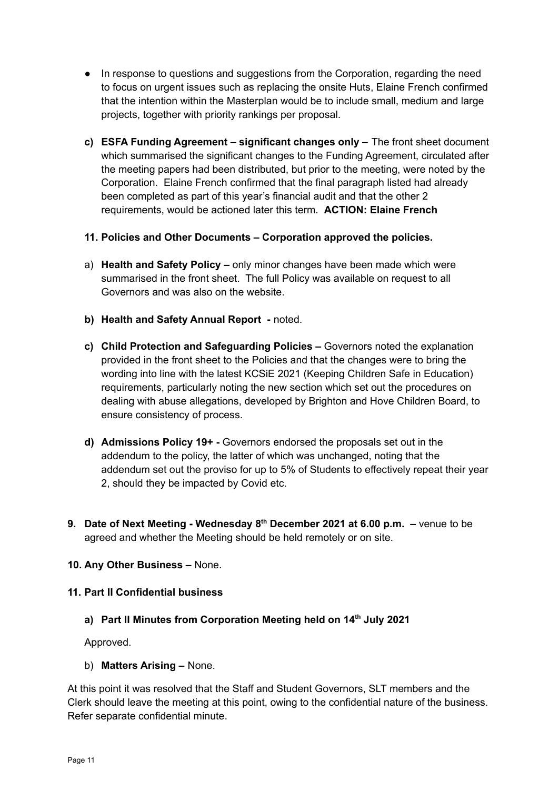- In response to questions and suggestions from the Corporation, regarding the need to focus on urgent issues such as replacing the onsite Huts, Elaine French confirmed that the intention within the Masterplan would be to include small, medium and large projects, together with priority rankings per proposal.
- **c) ESFA Funding Agreement – significant changes only –** The front sheet document which summarised the significant changes to the Funding Agreement, circulated after the meeting papers had been distributed, but prior to the meeting, were noted by the Corporation. Elaine French confirmed that the final paragraph listed had already been completed as part of this year's financial audit and that the other 2 requirements, would be actioned later this term. **ACTION: Elaine French**
- **11. Policies and Other Documents – Corporation approved the policies.**
- a) **Health and Safety Policy –** only minor changes have been made which were summarised in the front sheet. The full Policy was available on request to all Governors and was also on the website.
- **b) Health and Safety Annual Report -** noted.
- **c) Child Protection and Safeguarding Policies –** Governors noted the explanation provided in the front sheet to the Policies and that the changes were to bring the wording into line with the latest KCSiE 2021 (Keeping Children Safe in Education) requirements, particularly noting the new section which set out the procedures on dealing with abuse allegations, developed by Brighton and Hove Children Board, to ensure consistency of process.
- **d) Admissions Policy 19+ -** Governors endorsed the proposals set out in the addendum to the policy, the latter of which was unchanged, noting that the addendum set out the proviso for up to 5% of Students to effectively repeat their year 2, should they be impacted by Covid etc.
- **9. Date of Next Meeting - Wednesday 8 th December 2021 at 6.00 p.m. –** venue to be agreed and whether the Meeting should be held remotely or on site.

# **10. Any Other Business –** None.

#### **11. Part II Confidential business**

#### **a) Part II Minutes from Corporation Meeting held on 14 th July 2021**

Approved.

b) **Matters Arising –** None.

At this point it was resolved that the Staff and Student Governors, SLT members and the Clerk should leave the meeting at this point, owing to the confidential nature of the business. Refer separate confidential minute.